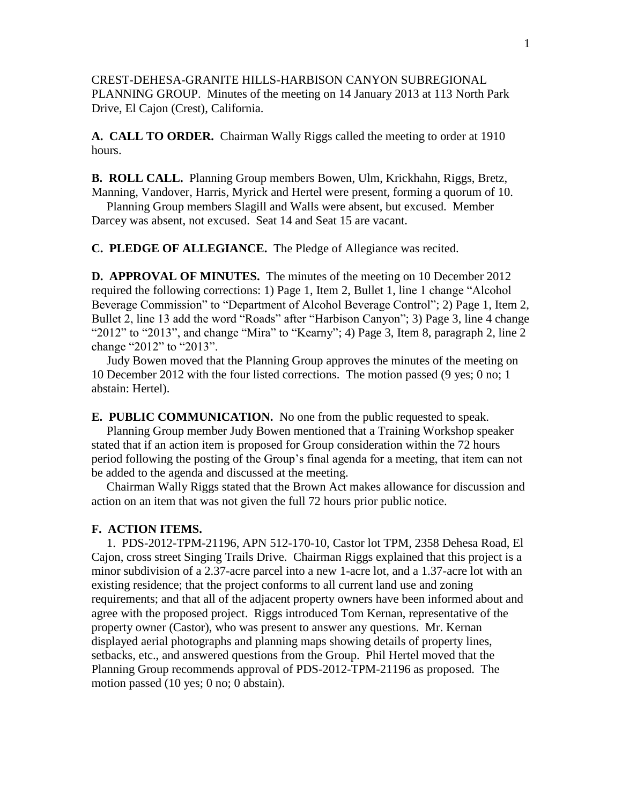CREST-DEHESA-GRANITE HILLS-HARBISON CANYON SUBREGIONAL PLANNING GROUP. Minutes of the meeting on 14 January 2013 at 113 North Park Drive, El Cajon (Crest), California.

**A. CALL TO ORDER.** Chairman Wally Riggs called the meeting to order at 1910 hours.

**B. ROLL CALL.** Planning Group members Bowen, Ulm, Krickhahn, Riggs, Bretz, Manning, Vandover, Harris, Myrick and Hertel were present, forming a quorum of 10.

 Planning Group members Slagill and Walls were absent, but excused. Member Darcey was absent, not excused. Seat 14 and Seat 15 are vacant.

**C. PLEDGE OF ALLEGIANCE.** The Pledge of Allegiance was recited.

**D. APPROVAL OF MINUTES.** The minutes of the meeting on 10 December 2012 required the following corrections: 1) Page 1, Item 2, Bullet 1, line 1 change "Alcohol Beverage Commission" to "Department of Alcohol Beverage Control"; 2) Page 1, Item 2, Bullet 2, line 13 add the word "Roads" after "Harbison Canyon"; 3) Page 3, line 4 change "2012" to "2013", and change "Mira" to "Kearny"; 4) Page 3, Item 8, paragraph 2, line 2 change "2012" to "2013".

 Judy Bowen moved that the Planning Group approves the minutes of the meeting on 10 December 2012 with the four listed corrections. The motion passed (9 yes; 0 no; 1 abstain: Hertel).

**E. PUBLIC COMMUNICATION.** No one from the public requested to speak.

 Planning Group member Judy Bowen mentioned that a Training Workshop speaker stated that if an action item is proposed for Group consideration within the 72 hours period following the posting of the Group's final agenda for a meeting, that item can not be added to the agenda and discussed at the meeting.

 Chairman Wally Riggs stated that the Brown Act makes allowance for discussion and action on an item that was not given the full 72 hours prior public notice.

## **F. ACTION ITEMS.**

 1. PDS-2012-TPM-21196, APN 512-170-10, Castor lot TPM, 2358 Dehesa Road, El Cajon, cross street Singing Trails Drive. Chairman Riggs explained that this project is a minor subdivision of a 2.37-acre parcel into a new 1-acre lot, and a 1.37-acre lot with an existing residence; that the project conforms to all current land use and zoning requirements; and that all of the adjacent property owners have been informed about and agree with the proposed project. Riggs introduced Tom Kernan, representative of the property owner (Castor), who was present to answer any questions. Mr. Kernan displayed aerial photographs and planning maps showing details of property lines, setbacks, etc., and answered questions from the Group. Phil Hertel moved that the Planning Group recommends approval of PDS-2012-TPM-21196 as proposed. The motion passed (10 yes; 0 no; 0 abstain).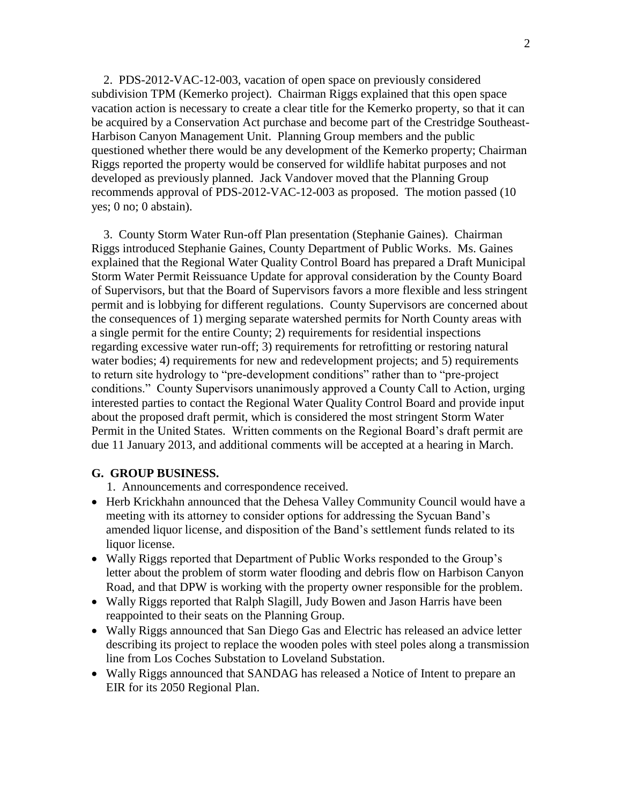2. PDS-2012-VAC-12-003, vacation of open space on previously considered subdivision TPM (Kemerko project). Chairman Riggs explained that this open space vacation action is necessary to create a clear title for the Kemerko property, so that it can be acquired by a Conservation Act purchase and become part of the Crestridge Southeast-Harbison Canyon Management Unit. Planning Group members and the public questioned whether there would be any development of the Kemerko property; Chairman Riggs reported the property would be conserved for wildlife habitat purposes and not developed as previously planned. Jack Vandover moved that the Planning Group recommends approval of PDS-2012-VAC-12-003 as proposed. The motion passed (10 yes; 0 no; 0 abstain).

 3. County Storm Water Run-off Plan presentation (Stephanie Gaines). Chairman Riggs introduced Stephanie Gaines, County Department of Public Works. Ms. Gaines explained that the Regional Water Quality Control Board has prepared a Draft Municipal Storm Water Permit Reissuance Update for approval consideration by the County Board of Supervisors, but that the Board of Supervisors favors a more flexible and less stringent permit and is lobbying for different regulations. County Supervisors are concerned about the consequences of 1) merging separate watershed permits for North County areas with a single permit for the entire County; 2) requirements for residential inspections regarding excessive water run-off; 3) requirements for retrofitting or restoring natural water bodies; 4) requirements for new and redevelopment projects; and 5) requirements to return site hydrology to "pre-development conditions" rather than to "pre-project conditions." County Supervisors unanimously approved a County Call to Action, urging interested parties to contact the Regional Water Quality Control Board and provide input about the proposed draft permit, which is considered the most stringent Storm Water Permit in the United States. Written comments on the Regional Board's draft permit are due 11 January 2013, and additional comments will be accepted at a hearing in March.

## **G. GROUP BUSINESS.**

1. Announcements and correspondence received.

- Herb Krickhahn announced that the Dehesa Valley Community Council would have a meeting with its attorney to consider options for addressing the Sycuan Band's amended liquor license, and disposition of the Band's settlement funds related to its liquor license.
- Wally Riggs reported that Department of Public Works responded to the Group's letter about the problem of storm water flooding and debris flow on Harbison Canyon Road, and that DPW is working with the property owner responsible for the problem.
- Wally Riggs reported that Ralph Slagill, Judy Bowen and Jason Harris have been reappointed to their seats on the Planning Group.
- Wally Riggs announced that San Diego Gas and Electric has released an advice letter describing its project to replace the wooden poles with steel poles along a transmission line from Los Coches Substation to Loveland Substation.
- Wally Riggs announced that SANDAG has released a Notice of Intent to prepare an EIR for its 2050 Regional Plan.